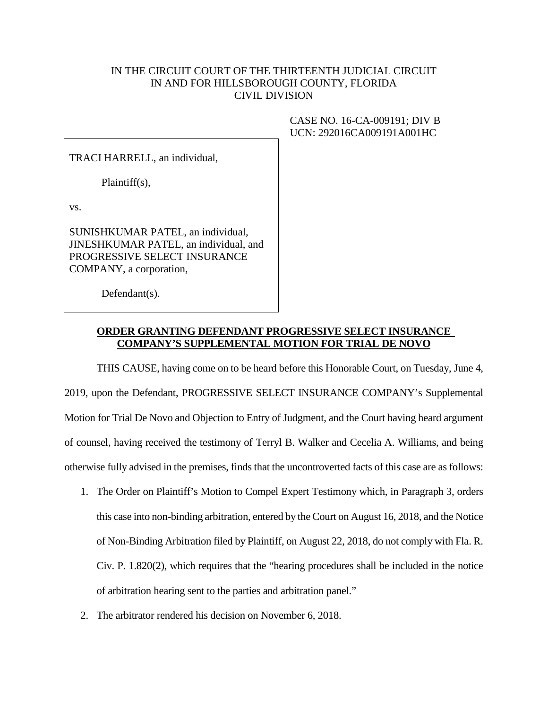## IN THE CIRCUIT COURT OF THE THIRTEENTH JUDICIAL CIRCUIT IN AND FOR HILLSBOROUGH COUNTY, FLORIDA CIVIL DIVISION

TRACI HARRELL, an individual,

Plaintiff(s),

vs.

SUNISHKUMAR PATEL, an individual, JINESHKUMAR PATEL, an individual, and PROGRESSIVE SELECT INSURANCE COMPANY, a corporation,

Defendant(s).

## CASE NO. 16-CA-009191; DIV B UCN: 292016CA009191A001HC

## **ORDER GRANTING DEFENDANT PROGRESSIVE SELECT INSURANCE COMPANY'S SUPPLEMENTAL MOTION FOR TRIAL DE NOVO**

THIS CAUSE, having come on to be heard before this Honorable Court, on Tuesday, June 4, 2019, upon the Defendant, PROGRESSIVE SELECT INSURANCE COMPANY's Supplemental Motion for Trial De Novo and Objection to Entry of Judgment, and the Court having heard argument of counsel, having received the testimony of Terryl B. Walker and Cecelia A. Williams, and being otherwise fully advised in the premises, finds that the uncontroverted facts of this case are as follows:

- 1. The Order on Plaintiff's Motion to Compel Expert Testimony which, in Paragraph 3, orders this case into non-binding arbitration, entered by the Court on August 16, 2018, and the Notice of Non-Binding Arbitration filed by Plaintiff, on August 22, 2018, do not comply with Fla. R. Civ. P. 1.820(2), which requires that the "hearing procedures shall be included in the notice of arbitration hearing sent to the parties and arbitration panel."
- 2. The arbitrator rendered his decision on November 6, 2018.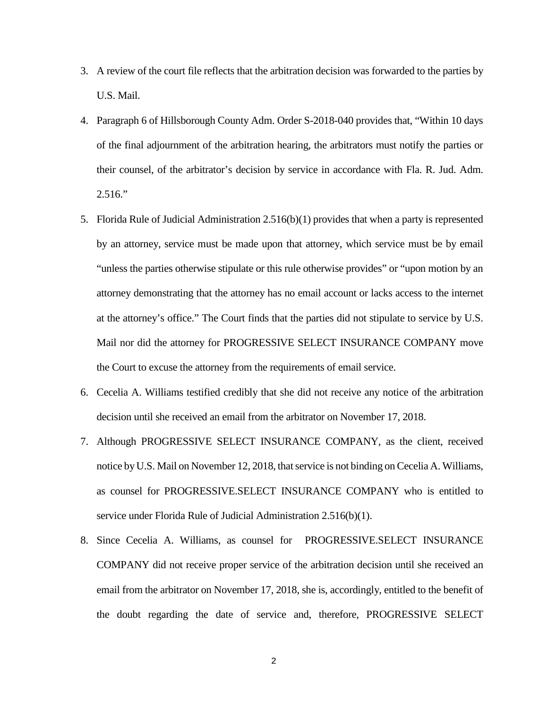- 3. A review of the court file reflects that the arbitration decision was forwarded to the parties by U.S. Mail.
- 4. Paragraph 6 of Hillsborough County Adm. Order S-2018-040 provides that, "Within 10 days of the final adjournment of the arbitration hearing, the arbitrators must notify the parties or their counsel, of the arbitrator's decision by service in accordance with Fla. R. Jud. Adm. 2.516."
- 5. Florida Rule of Judicial Administration 2.516(b)(1) provides that when a party is represented by an attorney, service must be made upon that attorney, which service must be by email "unless the parties otherwise stipulate or this rule otherwise provides" or "upon motion by an attorney demonstrating that the attorney has no email account or lacks access to the internet at the attorney's office." The Court finds that the parties did not stipulate to service by U.S. Mail nor did the attorney for PROGRESSIVE SELECT INSURANCE COMPANY move the Court to excuse the attorney from the requirements of email service.
- 6. Cecelia A. Williams testified credibly that she did not receive any notice of the arbitration decision until she received an email from the arbitrator on November 17, 2018.
- 7. Although PROGRESSIVE SELECT INSURANCE COMPANY, as the client, received notice by U.S. Mail on November 12, 2018, that service is not binding on Cecelia A. Williams, as counsel for PROGRESSIVE.SELECT INSURANCE COMPANY who is entitled to service under Florida Rule of Judicial Administration 2.516(b)(1).
- 8. Since Cecelia A. Williams, as counsel for PROGRESSIVE.SELECT INSURANCE COMPANY did not receive proper service of the arbitration decision until she received an email from the arbitrator on November 17, 2018, she is, accordingly, entitled to the benefit of the doubt regarding the date of service and, therefore, PROGRESSIVE SELECT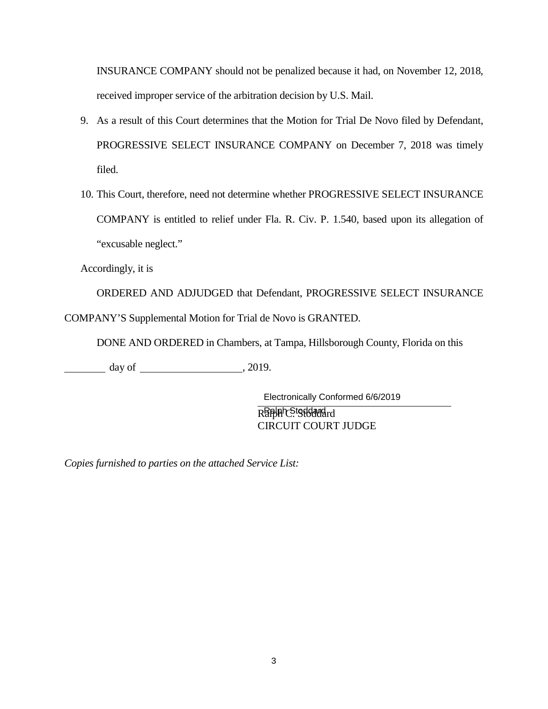INSURANCE COMPANY should not be penalized because it had, on November 12, 2018, received improper service of the arbitration decision by U.S. Mail.

- 9. As a result of this Court determines that the Motion for Trial De Novo filed by Defendant, PROGRESSIVE SELECT INSURANCE COMPANY on December 7, 2018 was timely filed.
- 10. This Court, therefore, need not determine whether PROGRESSIVE SELECT INSURANCE COMPANY is entitled to relief under Fla. R. Civ. P. 1.540, based upon its allegation of "excusable neglect."

Accordingly, it is

ORDERED AND ADJUDGED that Defendant, PROGRESSIVE SELECT INSURANCE COMPANY'S Supplemental Motion for Trial de Novo is GRANTED.

DONE AND ORDERED in Chambers, at Tampa, Hillsborough County, Florida on this

 $day of$  , 2019.

Rafbhr Stoddard rd CIRCUIT COURT JUDGE Electronically Conformed 6/6/2019

*Copies furnished to parties on the attached Service List:*